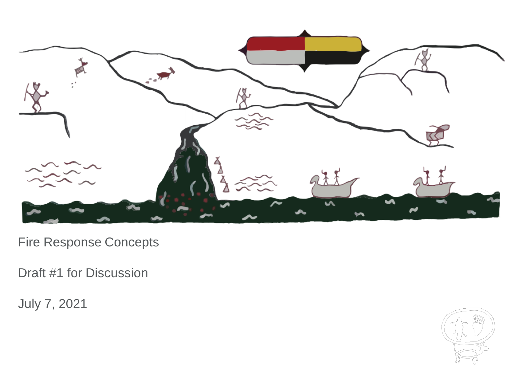

Fire Response Concepts

Draft #1 for Discussion

July 7, 2021

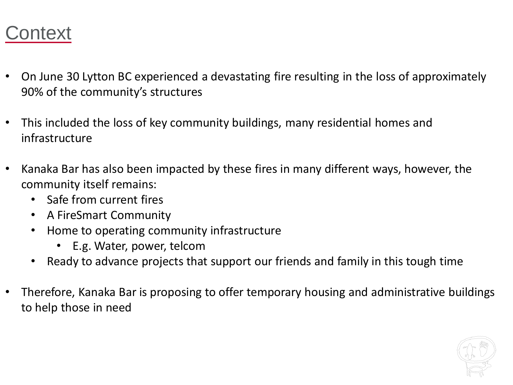## Context

- On June 30 Lytton BC experienced a devastating fire resulting in the loss of approximately 90% of the community's structures
- This included the loss of key community buildings, many residential homes and infrastructure
- Kanaka Bar has also been impacted by these fires in many different ways, however, the community itself remains:
	- Safe from current fires
	- A FireSmart Community
	- Home to operating community infrastructure
		- E.g. Water, power, telcom
	- Ready to advance projects that support our friends and family in this tough time
- Therefore, Kanaka Bar is proposing to offer temporary housing and administrative buildings to help those in need

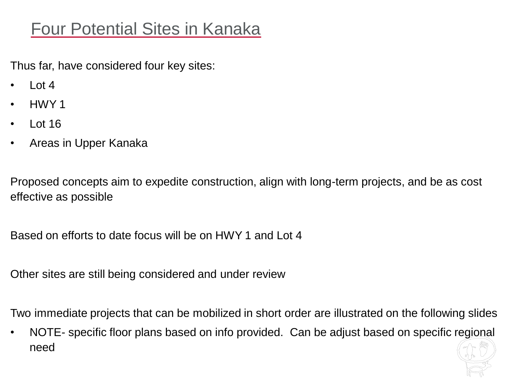## Four Potential Sites in Kanaka

Thus far, have considered four key sites:

- Lot  $4$
- HWY 1
- Lot 16
- Areas in Upper Kanaka

Proposed concepts aim to expedite construction, align with long-term projects, and be as cost effective as possible

Based on efforts to date focus will be on HWY 1 and Lot 4

Other sites are still being considered and under review

Two immediate projects that can be mobilized in short order are illustrated on the following slides

• NOTE- specific floor plans based on info provided. Can be adjust based on specific regional need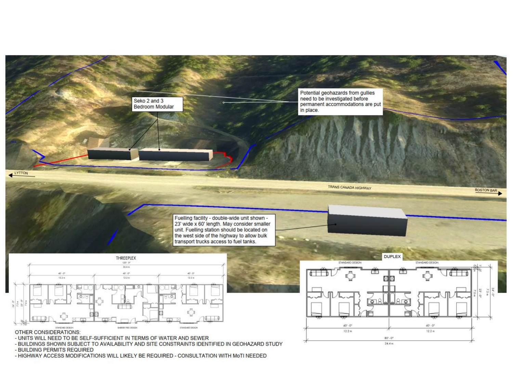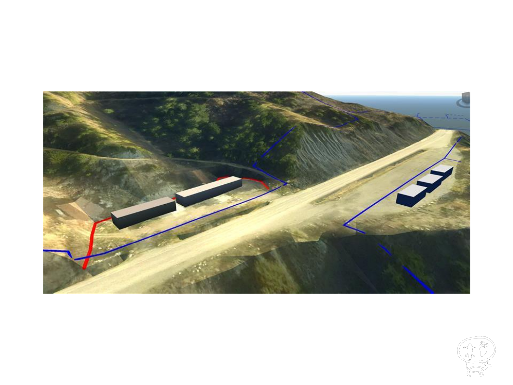

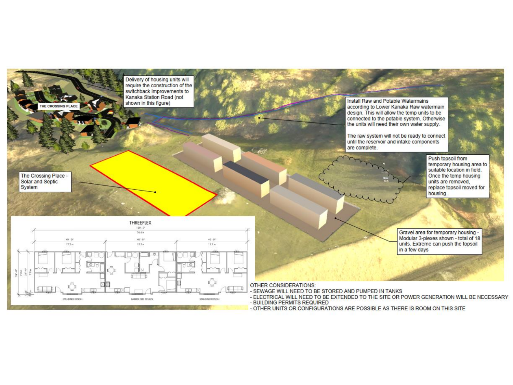



Gravel area for temporary housing -Modular 3-plexes shown - total of 18 units. Extreme can push the topsoil in a few days

#### **OTHER CONSIDERATIONS:**

- SEWAGE WILL NEED TO BE STORED AND PUMPED IN TANKS

- ELECTRICAL WILL NEED TO BE EXTENDED TO THE SITE OR POWER GENERATION WILL BE NECESSARY - BUILDING PERMITS REQUIRED

- OTHER UNITS OR CONFIGURATIONS ARE POSSIBLE AS THERE IS ROOM ON THIS SITE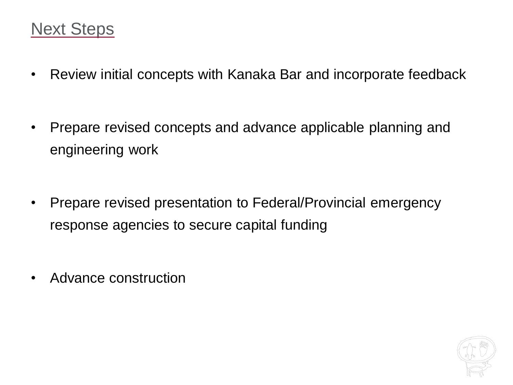### Next Steps

- Review initial concepts with Kanaka Bar and incorporate feedback
- Prepare revised concepts and advance applicable planning and engineering work
- Prepare revised presentation to Federal/Provincial emergency response agencies to secure capital funding
- Advance construction